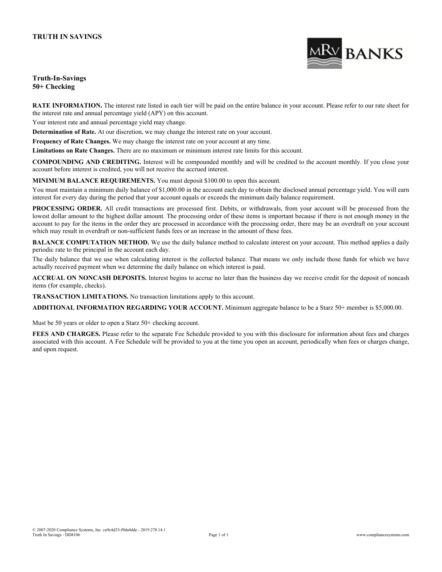

### **Truth-In-Savings 50+ Checking**

**RATE INFORMATION.** The interest rate listed in each tier will be paid on the entire balance in your account. Please refer to our rate sheet for the interest rate and annual percentage yield (APY) on this account.

Your interest rate and annual percentage yield may change.

**Determination of Rate.** At our discretion, we may change the interest rate on your account.

**Frequency of Rate Changes.** We may change the interest rate on your account at any time.

**Limitations on Rate Changes.** There are no maximum or minimum interest rate limits for this account.

**COMPOUNDING AND CREDITING.** Interest will be compounded monthly and will be credited to the account monthly. If you close your account before interest is credited, you will not receive the accrued interest.

**MINIMUM BALANCE REQUIREMENTS.** You must deposit \$100.00 to open this account.

You must maintain a minimum daily balance of \$1,000.00 in the account each day to obtain the disclosed annual percentage yield. You will earn interest for every day during the period that your account equals or exceeds the minimum daily balance requirement.

**PROCESSING ORDER.** All credit transactions are processed first. Debits, or withdrawals, from your account will be processed from the lowest dollar amount to the highest dollar amount. The processing order of these items is important because if there is not enough money in the account to pay for the items in the order they are processed in accordance with the processing order, there may be an overdraft on your account which may result in overdraft or non-sufficient funds fees or an increase in the amount of these fees.

**BALANCE COMPUTATION METHOD.** We use the daily balance method to calculate interest on your account. This method applies a daily periodic rate to the principal in the account each day.

The daily balance that we use when calculating interest is the collected balance. That means we only include those funds for which we have actually received payment when we determine the daily balance on which interest is paid.

**ACCRUAL ON NONCASH DEPOSITS.** Interest begins to accrue no later than the business day we receive credit for the deposit of noncash items (for example, checks).

**TRANSACTION LIMITATIONS.** No transaction limitations apply to this account.

**ADDITIONAL INFORMATION REGARDING YOUR ACCOUNT.** Minimum aggregate balance to be a Starz 50+ member is \$5,000.00.

Must be 50 years or older to open a Starz 50+ checking account.

**FEES AND CHARGES.** Please refer to the separate Fee Schedule provided to you with this disclosure for information about fees and charges associated with this account. A Fee Schedule will be provided to you at the time you open an account, periodically when fees or charges change, and upon request.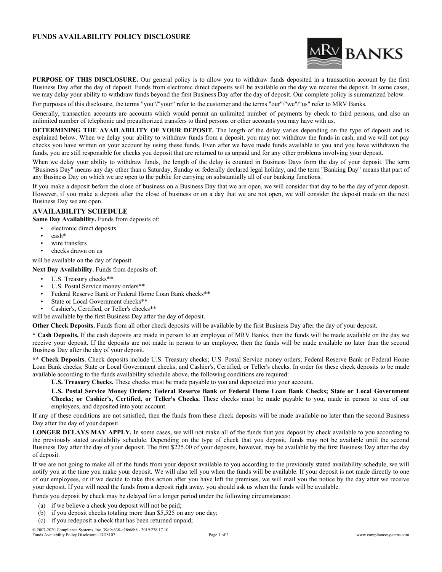### **FUNDS AVAILABILITY POLICY DISCLOSURE**



**PURPOSE OF THIS DISCLOSURE.** Our general policy is to allow you to withdraw funds deposited in a transaction account by the first Business Day after the day of deposit. Funds from electronic direct deposits will be available on the day we receive the deposit. In some cases, we may delay your ability to withdraw funds beyond the first Business Day after the day of deposit. Our complete policy is summarized below.

For purposes of this disclosure, the terms "you"/"your" refer to the customer and the terms "our"/"we"/"us" refer to MRV Banks.

Generally, transaction accounts are accounts which would permit an unlimited number of payments by check to third persons, and also an unlimited number of telephonic and preauthorized transfers to third persons or other accounts you may have with us.

**DETERMINING THE AVAILABILITY OF YOUR DEPOSIT.** The length of the delay varies depending on the type of deposit and is explained below. When we delay your ability to withdraw funds from a deposit, you may not withdraw the funds in cash, and we will not pay checks you have written on your account by using these funds. Even after we have made funds available to you and you have withdrawn the funds, you are still responsible for checks you deposit that are returned to us unpaid and for any other problems involving your deposit.

When we delay your ability to withdraw funds, the length of the delay is counted in Business Days from the day of your deposit. The term "Business Day" means any day other than a Saturday, Sunday or federally declared legal holiday, and the term "Banking Day" means that part of any Business Day on which we are open to the public for carrying on substantially all of our banking functions.

If you make a deposit before the close of business on a Business Day that we are open, we will consider that day to be the day of your deposit. However, if you make a deposit after the close of business or on a day that we are not open, we will consider the deposit made on the next Business Day we are open.

### **AVAILABILITY SCHEDULE**

**Same Day Availability.** Funds from deposits of:

- electronic direct deposits
- cash\*
- wire transfers
- checks drawn on us

will be available on the day of deposit.

**Next Day Availability.** Funds from deposits of:

- U.S. Treasury checks\*\*
- U.S. Postal Service money orders\*\*
- Federal Reserve Bank or Federal Home Loan Bank checks\*\*
- State or Local Government checks\*\*
- Cashier's, Certified, or Teller's checks\*\*

will be available by the first Business Day after the day of deposit.

**Other Check Deposits.** Funds from all other check deposits will be available by the first Business Day after the day of your deposit.

**\* Cash Deposits.** If the cash deposits are made in person to an employee of MRV Banks, then the funds will be made available on the day we receive your deposit. If the deposits are not made in person to an employee, then the funds will be made available no later than the second Business Day after the day of your deposit.

**\*\* Check Deposits.** Check deposits include U.S. Treasury checks; U.S. Postal Service money orders; Federal Reserve Bank or Federal Home Loan Bank checks; State or Local Government checks; and Cashier's, Certified, or Teller's checks. In order for these check deposits to be made available according to the funds availability schedule above, the following conditions are required:

**U.S. Treasury Checks.** These checks must be made payable to you and deposited into your account.

U.S. Postal Service Money Orders; Federal Reserve Bank or Federal Home Loan Bank Checks; State or Local Government **Checks; or Cashier's, Certified, or Teller's Checks.** These checks must be made payable to you, made in person to one of our employees, and deposited into your account.

If any of these conditions are not satisfied, then the funds from these check deposits will be made available no later than the second Business Day after the day of your deposit.

**LONGER DELAYS MAY APPLY.** In some cases, we will not make all of the funds that you deposit by check available to you according to the previously stated availability schedule. Depending on the type of check that you deposit, funds may not be available until the second Business Day after the day of your deposit. The first \$225.00 of your deposits, however, may be available by the first Business Day after the day of deposit.

If we are not going to make all of the funds from your deposit available to you according to the previously stated availability schedule, we will notify you at the time you make your deposit. We will also tell you when the funds will be available. If your deposit is not made directly to one of our employees, or if we decide to take this action after you have left the premises, we will mail you the notice by the day after we receive your deposit. If you will need the funds from a deposit right away, you should ask us when the funds will be available.

Funds you deposit by check may be delayed for a longer period under the following circumstances:

- (a) if we believe a check you deposit will not be paid;
- (b) if you deposit checks totaling more than \$5,525 on any one day;
- (c) if you redeposit a check that has been returned unpaid;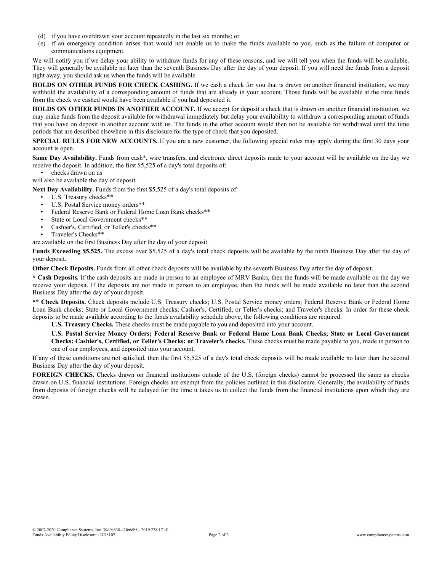- (d) if you have overdrawn your account repeatedly in the last six months; or
- (e) if an emergency condition arises that would not enable us to make the funds available to you, such as the failure of computer or communications equipment.

We will notify you if we delay your ability to withdraw funds for any of these reasons, and we will tell you when the funds will be available. They will generally be available no later than the seventh Business Day after the day of your deposit. If you will need the funds from a deposit right away, you should ask us when the funds will be available.

**HOLDS ON OTHER FUNDS FOR CHECK CASHING.** If we cash a check for you that is drawn on another financial institution, we may withhold the availability of a corresponding amount of funds that are already in your account. Those funds will be available at the time funds from the check we cashed would have been available if you had deposited it.

**HOLDS ON OTHER FUNDS IN ANOTHER ACCOUNT.** If we accept for deposit a check that is drawn on another financial institution, we may make funds from the deposit available for withdrawal immediately but delay your availability to withdraw a corresponding amount of funds that you have on deposit in another account with us. The funds in the other account would then not be available for withdrawal until the time periods that are described elsewhere in this disclosure for the type of check that you deposited.

**SPECIAL RULES FOR NEW ACCOUNTS.** If you are a new customer, the following special rules may apply during the first 30 days your account is open.

**Same Day Availability.** Funds from cash\*, wire transfers, and electronic direct deposits made to your account will be available on the day we receive the deposit. In addition, the first \$5,525 of a day's total deposits of:

checks drawn on us

will also be available the day of deposit.

**Next Day Availability.** Funds from the first \$5,525 of a day's total deposits of:

- U.S. Treasury checks\*\*
- U.S. Postal Service money orders\*\*
- Federal Reserve Bank or Federal Home Loan Bank checks\*\*
- State or Local Government checks\*\*
- Cashier's, Certified, or Teller's checks\*\*
- Traveler's Checks\*\*

are available on the first Business Day after the day of your deposit.

**Funds Exceeding \$5,525.** The excess over \$5,525 of a day's total check deposits will be available by the ninth Business Day after the day of your deposit.

**Other Check Deposits.** Funds from all other check deposits will be available by the seventh Business Day after the day of deposit.

**\* Cash Deposits.** If the cash deposits are made in person to an employee of MRV Banks, then the funds will be made available on the day we receive your deposit. If the deposits are not made in person to an employee, then the funds will be made available no later than the second Business Day after the day of your deposit.

**\*\* Check Deposits.** Check deposits include U.S. Treasury checks; U.S. Postal Service money orders; Federal Reserve Bank or Federal Home Loan Bank checks; State or Local Government checks; Cashier's, Certified, or Teller's checks; and Traveler's checks. In order for these check deposits to be made available according to the funds availability schedule above, the following conditions are required:

**U.S. Treasury Checks.** These checks must be made payable to you and deposited into your account.

U.S. Postal Service Money Orders; Federal Reserve Bank or Federal Home Loan Bank Checks; State or Local Government **Checks; Cashier's, Certified, or Teller's Checks; or Traveler's checks.** These checks must be made payable to you, made in person to one of our employees, and deposited into your account.

If any of these conditions are not satisfied, then the first \$5,525 of a day's total check deposits will be made available no later than the second Business Day after the day of your deposit.

**FOREIGN CHECKS.** Checks drawn on financial institutions outside of the U.S. (foreign checks) cannot be processed the same as checks drawn on U.S. financial institutions. Foreign checks are exempt from the policies outlined in this disclosure. Generally, the availability of funds from deposits of foreign checks will be delayed for the time it takes us to collect the funds from the financial institutions upon which they are drawn.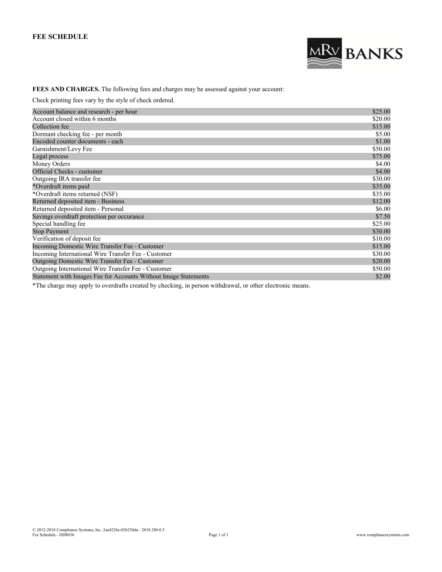# **FEE SCHEDULE**



# **FEES AND CHARGES.** The following fees and charges may be assessed against your account:

Check printing fees vary by the style of check ordered.

| Account balance and research - per hour                         | \$25.00 |
|-----------------------------------------------------------------|---------|
| Account closed within 6 months                                  | \$20.00 |
| Collection fee                                                  | \$15.00 |
| Dormant checking fee - per month                                | \$5.00  |
| Encoded counter documents - each                                | \$1.00  |
| Garnishment/Levy Fee                                            | \$50.00 |
| Legal process                                                   | \$75.00 |
| Money Orders                                                    | \$4.00  |
| Official Checks - customer                                      | \$4.00  |
| Outgoing IRA transfer fee                                       | \$30.00 |
| *Overdraft items paid                                           | \$35.00 |
| *Overdraft items returned (NSF)                                 | \$35.00 |
| Returned deposited item - Business                              | \$12.00 |
| Returned deposited item - Personal                              | \$6.00  |
| Savings overdraft protection per occurance                      | \$7.50  |
| Special handling fee                                            | \$25.00 |
| <b>Stop Payment</b>                                             | \$30.00 |
| Verification of deposit fee                                     | \$10.00 |
| Incoming Domestic Wire Transfer Fee - Customer                  | \$15.00 |
| Incoming International Wire Transfer Fee - Customer             | \$30.00 |
| Outgoing Domestic Wire Transfer Fee - Customer                  | \$20.00 |
| Outgoing International Wire Transfer Fee - Customer             | \$50.00 |
| Statement with Images Fee for Accounts Without Image Statements | \$2.00  |

\*The charge may apply to overdrafts created by checking, in person withdrawal, or other electronic means.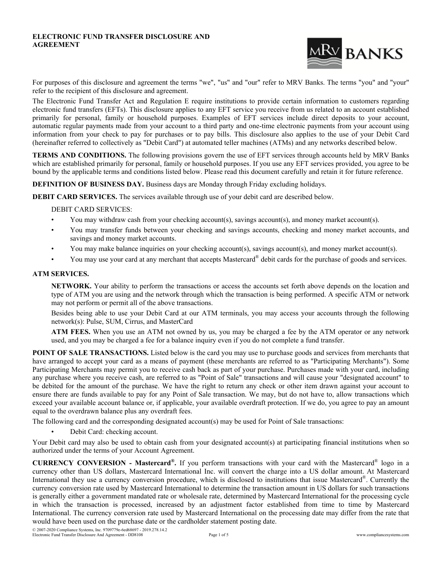#### **ELECTRONIC FUND TRANSFER DISCLOSURE AND AGREEMENT**



For purposes of this disclosure and agreement the terms "we", "us" and "our" refer to MRV Banks. The terms "you" and "your" refer to the recipient of this disclosure and agreement.

The Electronic Fund Transfer Act and Regulation E require institutions to provide certain information to customers regarding electronic fund transfers (EFTs). This disclosure applies to any EFT service you receive from us related to an account established primarily for personal, family or household purposes. Examples of EFT services include direct deposits to your account, automatic regular payments made from your account to a third party and one-time electronic payments from your account using information from your check to pay for purchases or to pay bills. This disclosure also applies to the use of your Debit Card (hereinafter referred to collectively as "Debit Card") at automated teller machines (ATMs) and any networks described below.

**TERMS AND CONDITIONS.** The following provisions govern the use of EFT services through accounts held by MRV Banks which are established primarily for personal, family or household purposes. If you use any EFT services provided, you agree to be bound by the applicable terms and conditions listed below. Please read this document carefully and retain it for future reference.

**DEFINITION OF BUSINESS DAY.** Business days are Monday through Friday excluding holidays.

**DEBIT CARD SERVICES.** The services available through use of your debit card are described below.

DEBIT CARD SERVICES:

- You may withdraw cash from your checking account(s), savings account(s), and money market account(s).
- You may transfer funds between your checking and savings accounts, checking and money market accounts, and savings and money market accounts.
- You may make balance inquiries on your checking account(s), savings account(s), and money market account(s).
- You may use your card at any merchant that accepts Mastercard® debit cards for the purchase of goods and services.

### **ATM SERVICES.**

**NETWORK.** Your ability to perform the transactions or access the accounts set forth above depends on the location and type of ATM you are using and the network through which the transaction is being performed. A specific ATM or network may not perform or permit all of the above transactions.

Besides being able to use your Debit Card at our ATM terminals, you may access your accounts through the following network(s): Pulse, SUM, Cirrus, and MasterCard

**ATM FEES.** When you use an ATM not owned by us, you may be charged a fee by the ATM operator or any network used, and you may be charged a fee for a balance inquiry even if you do not complete a fund transfer.

**POINT OF SALE TRANSACTIONS.** Listed below is the card you may use to purchase goods and services from merchants that have arranged to accept your card as a means of payment (these merchants are referred to as "Participating Merchants"). Some Participating Merchants may permit you to receive cash back as part of your purchase. Purchases made with your card, including any purchase where you receive cash, are referred to as "Point of Sale" transactions and will cause your "designated account" to be debited for the amount of the purchase. We have the right to return any check or other item drawn against your account to ensure there are funds available to pay for any Point of Sale transaction. We may, but do not have to, allow transactions which exceed your available account balance or, if applicable, your available overdraft protection. If we do, you agree to pay an amount equal to the overdrawn balance plus any overdraft fees.

The following card and the corresponding designated account(s) may be used for Point of Sale transactions:

Debit Card: checking account.

Your Debit card may also be used to obtain cash from your designated account(s) at participating financial institutions when so authorized under the terms of your Account Agreement.

**CURRENCY CONVERSION - Mastercard® .** If you perform transactions with your card with the Mastercard® logo in a currency other than US dollars, Mastercard International Inc. will convert the charge into a US dollar amount. At Mastercard International they use a currency conversion procedure, which is disclosed to institutions that issue Mastercard®. Currently the currency conversion rate used by Mastercard International to determine the transaction amount in US dollars for such transactions is generally either a government mandated rate or wholesale rate, determined by Mastercard International for the processing cycle in which the transaction is processed, increased by an adjustment factor established from time to time by Mastercard International. The currency conversion rate used by Mastercard International on the processing date may differ from the rate that would have been used on the purchase date or the cardholder statement posting date.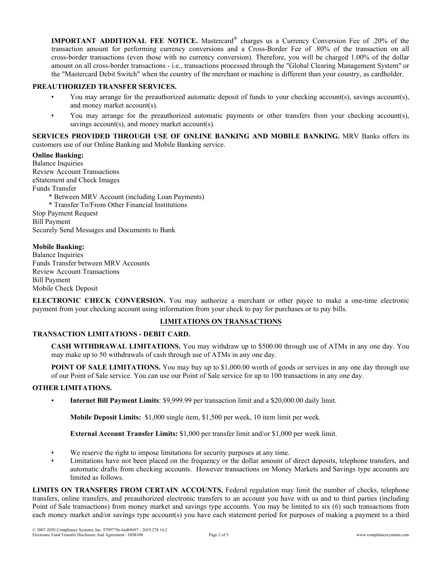**IMPORTANT ADDITIONAL FEE NOTICE.** Mastercard® charges us a Currency Conversion Fee of .20% of the transaction amount for performing currency conversions and a Cross-Border Fee of .80% of the transaction on all cross-border transactions (even those with no currency conversion). Therefore, you will be charged 1.00% of the dollar amount on all cross-border transactions - i.e., transactions processed through the "Global Clearing Management System" or the "Mastercard Debit Switch" when the country of the merchant or machine is different than your country, as cardholder.

### **PREAUTHORIZED TRANSFER SERVICES.**

- You may arrange for the preauthorized automatic deposit of funds to your checking account(s), savings account(s), and money market account(s).
- You may arrange for the preauthorized automatic payments or other transfers from your checking account(s), savings account(s), and money market account(s).

**SERVICES PROVIDED THROUGH USE OF ONLINE BANKING AND MOBILE BANKING.** MRV Banks offers its customers use of our Online Banking and Mobile Banking service.

**Online Banking:** Balance Inquiries Review Account Transactions eStatement and Check Images Funds Transfer \* Between MRV Account (including Loan Payments) \* Transfer To/From Other Financial Institutions Stop Payment Request Bill Payment Securely Send Messages and Documents to Bank

### **Mobile Banking:**

Balance Inquiries Funds Transfer between MRV Accounts Review Account Transactions Bill Payment Mobile Check Deposit

**ELECTRONIC CHECK CONVERSION.** You may authorize a merchant or other payee to make a one-time electronic payment from your checking account using information from your check to pay for purchases or to pay bills.

# **LIMITATIONS ON TRANSACTIONS**

# **TRANSACTION LIMITATIONS - DEBIT CARD.**

**CASH WITHDRAWAL LIMITATIONS.** You may withdraw up to \$500.00 through use of ATMs in any one day. You may make up to 50 withdrawals of cash through use of ATMs in any one day.

**POINT OF SALE LIMITATIONS.** You may buy up to \$1,000.00 worth of goods or services in any one day through use of our Point of Sale service. You can use our Point of Sale service for up to 100 transactions in any one day.

### **OTHER LIMITATIONS.**

• **Internet Bill Payment Limits**: \$9,999.99 per transaction limit and a \$20,000.00 daily limit.

**Mobile Deposit Limits:** \$1,000 single item, \$1,500 per week, 10 item limit per week.

**External Account Transfer Limits:** \$1,000 per transfer limit and/or \$1,000 per week limit.

- We reserve the right to impose limitations for security purposes at any time.
- Limitations have not been placed on the frequency or the dollar amount of direct deposits, telephone transfers, and automatic drafts from checking accounts. However transactions on Money Markets and Savings type accounts are limited as follows.

**LIMITS ON TRANSFERS FROM CERTAIN ACCOUNTS.** Federal regulation may limit the number of checks, telephone transfers, online transfers, and preauthorized electronic transfers to an account you have with us and to third parties (including Point of Sale transactions) from money market and savings type accounts. You may be limited to six (6) such transactions from each money market and/or savings type account(s) you have each statement period for purposes of making a payment to a third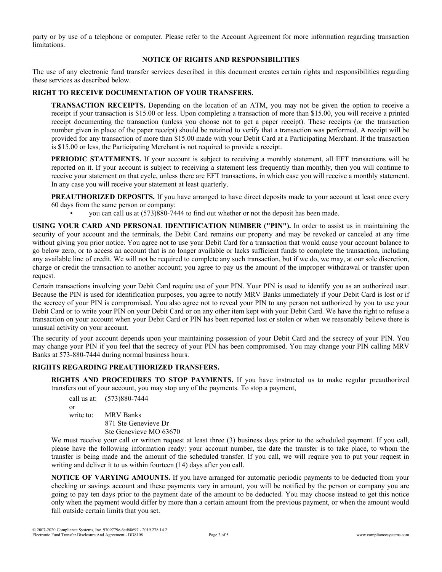party or by use of a telephone or computer. Please refer to the Account Agreement for more information regarding transaction limitations.

# **NOTICE OF RIGHTS AND RESPONSIBILITIES**

The use of any electronic fund transfer services described in this document creates certain rights and responsibilities regarding these services as described below.

## **RIGHT TO RECEIVE DOCUMENTATION OF YOUR TRANSFERS.**

**TRANSACTION RECEIPTS.** Depending on the location of an ATM, you may not be given the option to receive a receipt if your transaction is \$15.00 or less. Upon completing a transaction of more than \$15.00, you will receive a printed receipt documenting the transaction (unless you choose not to get a paper receipt). These receipts (or the transaction number given in place of the paper receipt) should be retained to verify that a transaction was performed. A receipt will be provided for any transaction of more than \$15.00 made with your Debit Card at a Participating Merchant. If the transaction is \$15.00 or less, the Participating Merchant is not required to provide a receipt.

**PERIODIC STATEMENTS.** If your account is subject to receiving a monthly statement, all EFT transactions will be reported on it. If your account is subject to receiving a statement less frequently than monthly, then you will continue to receive your statement on that cycle, unless there are EFT transactions, in which case you will receive a monthly statement. In any case you will receive your statement at least quarterly.

**PREAUTHORIZED DEPOSITS.** If you have arranged to have direct deposits made to your account at least once every 60 days from the same person or company:

• you can call us at (573)880-7444 to find out whether or not the deposit has been made.

**USING YOUR CARD AND PERSONAL IDENTIFICATION NUMBER ("PIN").** In order to assist us in maintaining the security of your account and the terminals, the Debit Card remains our property and may be revoked or canceled at any time without giving you prior notice. You agree not to use your Debit Card for a transaction that would cause your account balance to go below zero, or to access an account that is no longer available or lacks sufficient funds to complete the transaction, including any available line of credit. We will not be required to complete any such transaction, but if we do, we may, at our sole discretion, charge or credit the transaction to another account; you agree to pay us the amount of the improper withdrawal or transfer upon request.

Certain transactions involving your Debit Card require use of your PIN. Your PIN is used to identify you as an authorized user. Because the PIN is used for identification purposes, you agree to notify MRV Banks immediately if your Debit Card is lost or if the secrecy of your PIN is compromised. You also agree not to reveal your PIN to any person not authorized by you to use your Debit Card or to write your PIN on your Debit Card or on any other item kept with your Debit Card. We have the right to refuse a transaction on your account when your Debit Card or PIN has been reported lost or stolen or when we reasonably believe there is unusual activity on your account.

The security of your account depends upon your maintaining possession of your Debit Card and the secrecy of your PIN. You may change your PIN if you feel that the secrecy of your PIN has been compromised. You may change your PIN calling MRV Banks at 573-880-7444 during normal business hours.

### **RIGHTS REGARDING PREAUTHORIZED TRANSFERS.**

**RIGHTS AND PROCEDURES TO STOP PAYMENTS.** If you have instructed us to make regular preauthorized transfers out of your account, you may stop any of the payments. To stop a payment,

call us at: (573)880-7444 or write to: MRV Banks 871 Ste Genevieve Dr Ste Genevieve MO 63670

We must receive your call or written request at least three (3) business days prior to the scheduled payment. If you call, please have the following information ready: your account number, the date the transfer is to take place, to whom the transfer is being made and the amount of the scheduled transfer. If you call, we will require you to put your request in writing and deliver it to us within fourteen (14) days after you call.

**NOTICE OF VARYING AMOUNTS.** If you have arranged for automatic periodic payments to be deducted from your checking or savings account and these payments vary in amount, you will be notified by the person or company you are going to pay ten days prior to the payment date of the amount to be deducted. You may choose instead to get this notice only when the payment would differ by more than a certain amount from the previous payment, or when the amount would fall outside certain limits that you set.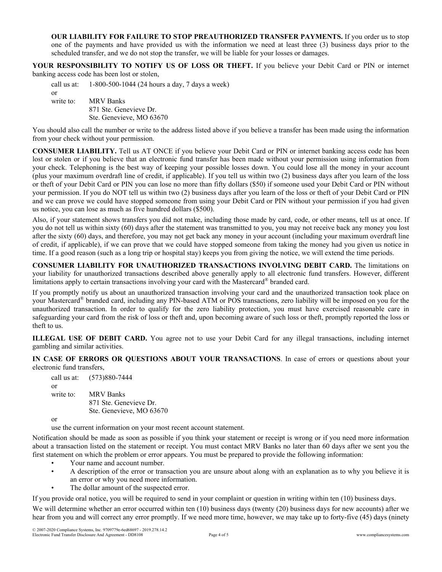**OUR LIABILITY FOR FAILURE TO STOP PREAUTHORIZED TRANSFER PAYMENTS.** If you order us to stop one of the payments and have provided us with the information we need at least three (3) business days prior to the scheduled transfer, and we do not stop the transfer, we will be liable for your losses or damages.

**YOUR RESPONSIBILITY TO NOTIFY US OF LOSS OR THEFT.** If you believe your Debit Card or PIN or internet banking access code has been lost or stolen,

call us at: 1-800-500-1044 (24 hours a day, 7 days a week) or write to: MRV Banks 871 Ste. Genevieve Dr. Ste. Genevieve, MO 63670

You should also call the number or write to the address listed above if you believe a transfer has been made using the information from your check without your permission.

**CONSUMER LIABILITY.** Tell us AT ONCE if you believe your Debit Card or PIN or internet banking access code has been lost or stolen or if you believe that an electronic fund transfer has been made without your permission using information from your check. Telephoning is the best way of keeping your possible losses down. You could lose all the money in your account (plus your maximum overdraft line of credit, if applicable). If you tell us within two (2) business days after you learn of the loss or theft of your Debit Card or PIN you can lose no more than fifty dollars (\$50) if someone used your Debit Card or PIN without your permission. If you do NOT tell us within two (2) business days after you learn of the loss or theft of your Debit Card or PIN and we can prove we could have stopped someone from using your Debit Card or PIN without your permission if you had given us notice, you can lose as much as five hundred dollars (\$500).

Also, if your statement shows transfers you did not make, including those made by card, code, or other means, tell us at once. If you do not tell us within sixty (60) days after the statement was transmitted to you, you may not receive back any money you lost after the sixty (60) days, and therefore, you may not get back any money in your account (including your maximum overdraft line of credit, if applicable), if we can prove that we could have stopped someone from taking the money had you given us notice in time. If a good reason (such as a long trip or hospital stay) keeps you from giving the notice, we will extend the time periods.

**CONSUMER LIABILITY FOR UNAUTHORIZED TRANSACTIONS INVOLVING DEBIT CARD.** The limitations on your liability for unauthorized transactions described above generally apply to all electronic fund transfers. However, different limitations apply to certain transactions involving your card with the Mastercard® branded card.

If you promptly notify us about an unauthorized transaction involving your card and the unauthorized transaction took place on your Mastercard® branded card, including any PIN-based ATM or POS transactions, zero liability will be imposed on you for the unauthorized transaction. In order to qualify for the zero liability protection, you must have exercised reasonable care in safeguarding your card from the risk of loss or theft and, upon becoming aware of such loss or theft, promptly reported the loss or theft to us.

**ILLEGAL USE OF DEBIT CARD.** You agree not to use your Debit Card for any illegal transactions, including internet gambling and similar activities.

**IN CASE OF ERRORS OR QUESTIONS ABOUT YOUR TRANSACTIONS**. In case of errors or questions about your electronic fund transfers,

call us at: (573)880-7444 or write to: MRV Banks 871 Ste. Genevieve Dr. Ste. Genevieve, MO 63670

or

use the current information on your most recent account statement.

Notification should be made as soon as possible if you think your statement or receipt is wrong or if you need more information about a transaction listed on the statement or receipt. You must contact MRV Banks no later than 60 days after we sent you the first statement on which the problem or error appears. You must be prepared to provide the following information:

- Your name and account number.
- A description of the error or transaction you are unsure about along with an explanation as to why you believe it is an error or why you need more information.
- The dollar amount of the suspected error.

If you provide oral notice, you will be required to send in your complaint or question in writing within ten (10) business days.

We will determine whether an error occurred within ten (10) business days (twenty (20) business days for new accounts) after we hear from you and will correct any error promptly. If we need more time, however, we may take up to forty-five (45) days (ninety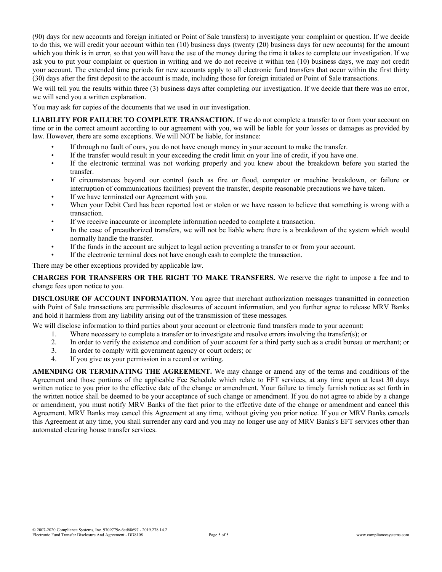(90) days for new accounts and foreign initiated or Point of Sale transfers) to investigate your complaint or question. If we decide to do this, we will credit your account within ten (10) business days (twenty (20) business days for new accounts) for the amount which you think is in error, so that you will have the use of the money during the time it takes to complete our investigation. If we ask you to put your complaint or question in writing and we do not receive it within ten (10) business days, we may not credit your account. The extended time periods for new accounts apply to all electronic fund transfers that occur within the first thirty (30) days after the first deposit to the account is made, including those for foreign initiated or Point of Sale transactions.

We will tell you the results within three (3) business days after completing our investigation. If we decide that there was no error, we will send you a written explanation.

You may ask for copies of the documents that we used in our investigation.

**LIABILITY FOR FAILURE TO COMPLETE TRANSACTION.** If we do not complete a transfer to or from your account on time or in the correct amount according to our agreement with you, we will be liable for your losses or damages as provided by law. However, there are some exceptions. We will NOT be liable, for instance:

- If through no fault of ours, you do not have enough money in your account to make the transfer.
- If the transfer would result in your exceeding the credit limit on your line of credit, if you have one.
- If the electronic terminal was not working properly and you knew about the breakdown before you started the transfer.
- If circumstances beyond our control (such as fire or flood, computer or machine breakdown, or failure or interruption of communications facilities) prevent the transfer, despite reasonable precautions we have taken.
- If we have terminated our Agreement with you.
- When your Debit Card has been reported lost or stolen or we have reason to believe that something is wrong with a transaction.
- If we receive inaccurate or incomplete information needed to complete a transaction.
- In the case of preauthorized transfers, we will not be liable where there is a breakdown of the system which would normally handle the transfer.
- If the funds in the account are subject to legal action preventing a transfer to or from your account.
- If the electronic terminal does not have enough cash to complete the transaction.

There may be other exceptions provided by applicable law.

**CHARGES FOR TRANSFERS OR THE RIGHT TO MAKE TRANSFERS.** We reserve the right to impose a fee and to change fees upon notice to you.

**DISCLOSURE OF ACCOUNT INFORMATION.** You agree that merchant authorization messages transmitted in connection with Point of Sale transactions are permissible disclosures of account information, and you further agree to release MRV Banks and hold it harmless from any liability arising out of the transmission of these messages.

We will disclose information to third parties about your account or electronic fund transfers made to your account:

- 1. Where necessary to complete a transfer or to investigate and resolve errors involving the transfer(s); or 2. In order to verify the existence and condition of your account for a third party such as a credit bureau or
- 2. In order to verify the existence and condition of your account for a third party such as a credit bureau or merchant; or
- 3. In order to comply with government agency or court orders; or
- 4. If you give us your permission in a record or writing.

**AMENDING OR TERMINATING THE AGREEMENT.** We may change or amend any of the terms and conditions of the Agreement and those portions of the applicable Fee Schedule which relate to EFT services, at any time upon at least 30 days written notice to you prior to the effective date of the change or amendment. Your failure to timely furnish notice as set forth in the written notice shall be deemed to be your acceptance of such change or amendment. If you do not agree to abide by a change or amendment, you must notify MRV Banks of the fact prior to the effective date of the change or amendment and cancel this Agreement. MRV Banks may cancel this Agreement at any time, without giving you prior notice. If you or MRV Banks cancels this Agreement at any time, you shall surrender any card and you may no longer use any of MRV Banks's EFT services other than automated clearing house transfer services.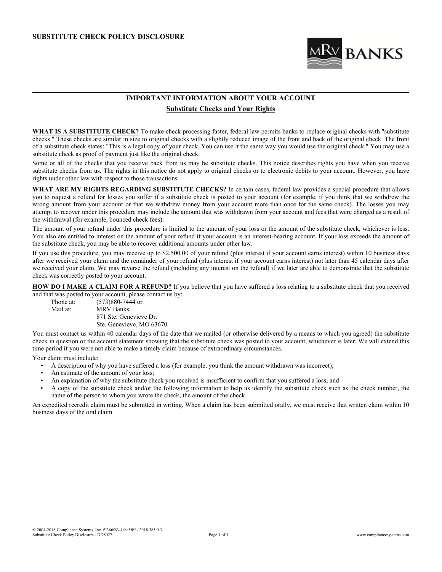

# **IMPORTANT INFORMATION ABOUT YOUR ACCOUNT Substitute Checks and Your Rights**

**WHAT IS A SUBSTITUTE CHECK?** To make check processing faster, federal law permits banks to replace original checks with "substitute checks." These checks are similar in size to original checks with a slightly reduced image of the front and back of the original check. The front of a substitute check states: "This is a legal copy of your check. You can use it the same way you would use the original check." You may use a substitute check as proof of payment just like the original check.

Some or all of the checks that you receive back from us may be substitute checks. This notice describes rights you have when you receive substitute checks from us. The rights in this notice do not apply to original checks or to electronic debits to your account. However, you have rights under other law with respect to those transactions.

**WHAT ARE MY RIGHTS REGARDING SUBSTITUTE CHECKS?** In certain cases, federal law provides a special procedure that allows you to request a refund for losses you suffer if a substitute check is posted to your account (for example, if you think that we withdrew the wrong amount from your account or that we withdrew money from your account more than once for the same check). The losses you may attempt to recover under this procedure may include the amount that was withdrawn from your account and fees that were charged as a result of the withdrawal (for example, bounced check fees).

The amount of your refund under this procedure is limited to the amount of your loss or the amount of the substitute check, whichever is less. You also are entitled to interest on the amount of your refund if your account is an interest-bearing account. If your loss exceeds the amount of the substitute check, you may be able to recover additional amounts under other law.

If you use this procedure, you may receive up to \$2,500.00 of your refund (plus interest if your account earns interest) within 10 business days after we received your claim and the remainder of your refund (plus interest if your account earns interest) not later than 45 calendar days after we received your claim. We may reverse the refund (including any interest on the refund) if we later are able to demonstrate that the substitute check was correctly posted to your account.

**HOW DO I MAKE A CLAIM FOR A REFUND?** If you believe that you have suffered a loss relating to a substitute check that you received and that was posted to your account, please contact us by:<br>Phone at:  $(573)880-7444$  or

Phone at: (573)880-7444 or<br>Mail at: MRV Banks MRV Banks 871 Ste. Genevieve Dr. Ste. Genevieve, MO 63670

You must contact us within 40 calendar days of the date that we mailed (or otherwise delivered by a means to which you agreed) the substitute check in question or the account statement showing that the substitute check was posted to your account, whichever is later. We will extend this time period if you were not able to make a timely claim because of extraordinary circumstances.

Your claim must include:

- A description of why you have suffered a loss (for example, you think the amount withdrawn was incorrect);
- An estimate of the amount of your loss;
- An explanation of why the substitute check you received is insufficient to confirm that you suffered a loss; and
- A copy of the substitute check and/or the following information to help us identify the substitute check such as the check number, the name of the person to whom you wrote the check, the amount of the check.

An expedited recredit claim must be submitted in writing. When a claim has been submitted orally, we must receive that written claim within 10 business days of the oral claim.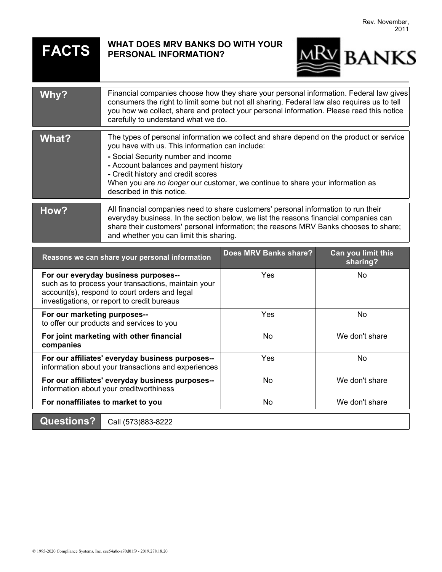# **FACTS WHAT DOES MRV BANKS DO WITH YOUR PERSONAL INFORMATION?**



| Why?                                                                                                                                                                                        | Financial companies choose how they share your personal information. Federal law gives<br>consumers the right to limit some but not all sharing. Federal law also requires us to tell<br>you how we collect, share and protect your personal information. Please read this notice<br>carefully to understand what we do.                                                        |                              |                                |
|---------------------------------------------------------------------------------------------------------------------------------------------------------------------------------------------|---------------------------------------------------------------------------------------------------------------------------------------------------------------------------------------------------------------------------------------------------------------------------------------------------------------------------------------------------------------------------------|------------------------------|--------------------------------|
| <b>What?</b>                                                                                                                                                                                | The types of personal information we collect and share depend on the product or service<br>you have with us. This information can include:<br>- Social Security number and income<br>- Account balances and payment history<br>- Credit history and credit scores<br>When you are no longer our customer, we continue to share your information as<br>described in this notice. |                              |                                |
| How?                                                                                                                                                                                        | All financial companies need to share customers' personal information to run their<br>everyday business. In the section below, we list the reasons financial companies can<br>share their customers' personal information; the reasons MRV Banks chooses to share;<br>and whether you can limit this sharing.                                                                   |                              |                                |
| Reasons we can share your personal information                                                                                                                                              |                                                                                                                                                                                                                                                                                                                                                                                 | <b>Does MRV Banks share?</b> | Can you limit this<br>sharing? |
| For our everyday business purposes--<br>such as to process your transactions, maintain your<br>account(s), respond to court orders and legal<br>investigations, or report to credit bureaus |                                                                                                                                                                                                                                                                                                                                                                                 | Yes                          | <b>No</b>                      |
| For our marketing purposes--<br>to offer our products and services to you                                                                                                                   |                                                                                                                                                                                                                                                                                                                                                                                 | Yes                          | <b>No</b>                      |
| For joint marketing with other financial<br>companies                                                                                                                                       |                                                                                                                                                                                                                                                                                                                                                                                 | No                           | We don't share                 |
| For our affiliates' everyday business purposes--<br>information about your transactions and experiences                                                                                     |                                                                                                                                                                                                                                                                                                                                                                                 | Yes                          | No                             |
| For our affiliates' everyday business purposes--<br>information about your creditworthiness                                                                                                 |                                                                                                                                                                                                                                                                                                                                                                                 | <b>No</b>                    | We don't share                 |
| For nonaffiliates to market to you                                                                                                                                                          |                                                                                                                                                                                                                                                                                                                                                                                 | No                           | We don't share                 |
| <b>Questions?</b>                                                                                                                                                                           | Call (573)883-8222                                                                                                                                                                                                                                                                                                                                                              |                              |                                |